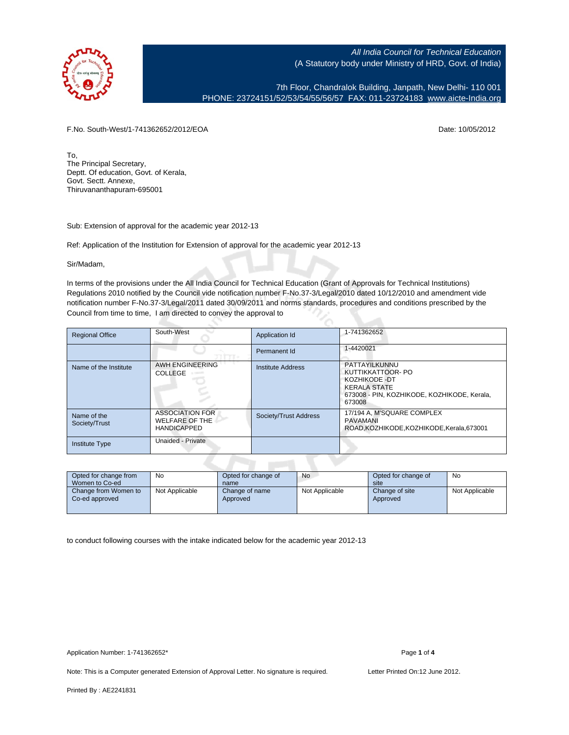

7th Floor, Chandralok Building, Janpath, New Delhi- 110 001 PHONE: 23724151/52/53/54/55/56/57 FAX: 011-23724183 [www.aicte-India.org](http://www.aicte-India.org)

F.No. South-West/1-741362652/2012/EOA Date: 10/05/2012

To, The Principal Secretary, Deptt. Of education, Govt. of Kerala, Govt. Sectt. Annexe, Thiruvananthapuram-695001

Sub: Extension of approval for the academic year 2012-13

Ref: Application of the Institution for Extension of approval for the academic year 2012-13

Sir/Madam,

In terms of the provisions under the All India Council for Technical Education (Grant of Approvals for Technical Institutions) Regulations 2010 notified by the Council vide notification number F-No.37-3/Legal/2010 dated 10/12/2010 and amendment vide notification number F-No.37-3/Legal/2011 dated 30/09/2011 and norms standards, procedures and conditions prescribed by the Council from time to time, I am directed to convey the approval to

| <b>Regional Office</b>       | South-West                                                            | Application Id           | 1-741362652                                                                                                                         |
|------------------------------|-----------------------------------------------------------------------|--------------------------|-------------------------------------------------------------------------------------------------------------------------------------|
|                              |                                                                       | Permanent Id             | 1-4420021                                                                                                                           |
| Name of the Institute        | AWH ENGINEERING<br><b>COLLEGE</b>                                     | <b>Institute Address</b> | PATTAYILKUNNU<br>KUTTIKKATTOOR- PO<br>KOZHIKODE -DT<br><b>KERALA STATE</b><br>673008 - PIN, KOZHIKODE, KOZHIKODE, Kerala,<br>673008 |
| Name of the<br>Society/Trust | <b>ASSOCIATION FOR</b><br><b>WELFARE OF THE</b><br><b>HANDICAPPED</b> | Society/Trust Address    | 17/194 A, M'SQUARE COMPLEX<br><b>PAVAMANI</b><br>ROAD.KOZHIKODE.KOZHIKODE.Kerala.673001                                             |
| <b>Institute Type</b>        | Unaided - Private                                                     |                          |                                                                                                                                     |

| Opted for change from<br>Women to Co-ed | No             | Opted for change of<br>name | <b>No</b>      | Opted for change of<br>site | No             |
|-----------------------------------------|----------------|-----------------------------|----------------|-----------------------------|----------------|
| Change from Women to<br>Co-ed approved  | Not Applicable | Change of name<br>Approved  | Not Applicable | Change of site<br>Approved  | Not Applicable |

to conduct following courses with the intake indicated below for the academic year 2012-13

Note: This is a Computer generated Extension of Approval Letter. No signature is required. Letter Printed On:12 June 2012.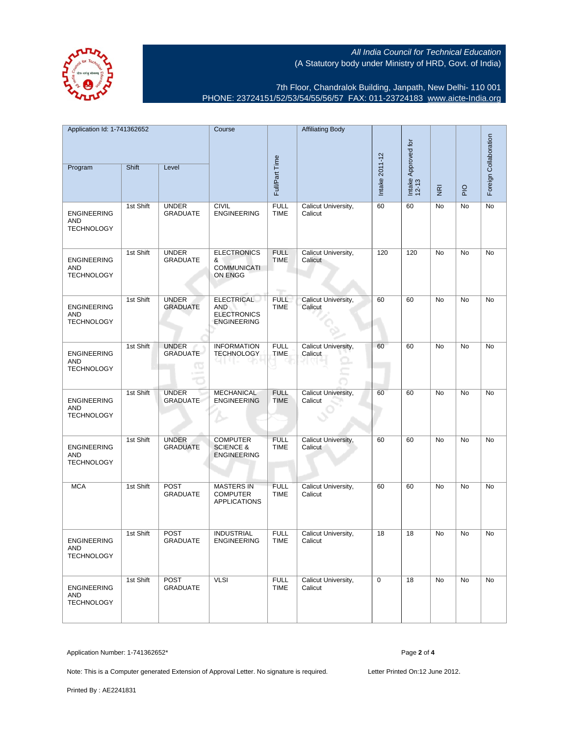

7th Floor, Chandralok Building, Janpath, New Delhi- 110 001 PHONE: 23724151/52/53/54/55/56/57 FAX: 011-23724183 [www.aicte-India.org](http://www.aicte-India.org)

| Application Id: 1-741362652<br>Program                | Shift     | Level                                        | Course                                                                      | Full/Part Time                    | <b>Affiliating Body</b>        | Intake 2011-12 | Intake Approved for<br>12-13 | $\overline{g}$ | $rac{O}{P}$ | Foreign Collaboration |
|-------------------------------------------------------|-----------|----------------------------------------------|-----------------------------------------------------------------------------|-----------------------------------|--------------------------------|----------------|------------------------------|----------------|-------------|-----------------------|
| <b>ENGINEERING</b><br>AND<br><b>TECHNOLOGY</b>        | 1st Shift | <b>UNDER</b><br><b>GRADUATE</b>              | <b>CIVIL</b><br><b>ENGINEERING</b>                                          | <b>FULL</b><br><b>TIME</b>        | Calicut University,<br>Calicut | 60             | 60                           | No             | No          | No                    |
| <b>ENGINEERING</b><br>AND<br><b>TECHNOLOGY</b>        | 1st Shift | <b>UNDER</b><br><b>GRADUATE</b>              | <b>ELECTRONICS</b><br>&<br><b>COMMUNICATI</b><br>ON ENGG                    | <b>FULL</b><br><b>TIME</b><br>mp. | Calicut University,<br>Calicut | 120            | 120                          | No             | No          | No                    |
| <b>ENGINEERING</b><br>AND<br><b>TECHNOLOGY</b>        | 1st Shift | <b>UNDER</b><br><b>GRADUATE</b>              | <b>ELECTRICAL</b><br><b>AND</b><br><b>ELECTRONICS</b><br><b>ENGINEERING</b> | <b>FULL</b><br><b>TIME</b>        | Calicut University,<br>Calicut | 60             | 60                           | No             | No          | No                    |
| <b>ENGINEERING</b><br>AND<br><b>TECHNOLOGY</b>        | 1st Shift | <b>UNDER</b><br><b>GRADUATE</b><br><b>TO</b> | <b>INFORMATION</b><br><b>TECHNOLOGY</b>                                     | <b>FULL</b><br><b>TIME</b>        | Calicut University,<br>Calicut | 60             | 60                           | No             | No          | No                    |
| <b>ENGINEERING</b><br><b>AND</b><br><b>TECHNOLOGY</b> | 1st Shift | <b>UNDER</b><br><b>GRADUATE</b>              | <b>MECHANICAL</b><br><b>ENGINEERING</b>                                     | <b>FULL</b><br><b>TIME</b>        | Calicut University,<br>Calicut | 60             | 60                           | <b>No</b>      | <b>No</b>   | No                    |
| <b>ENGINEERING</b><br>AND<br><b>TECHNOLOGY</b>        | 1st Shift | <b>UNDER</b><br><b>GRADUATE</b>              | <b>COMPUTER</b><br><b>SCIENCE &amp;</b><br><b>ENGINEERING</b>               | <b>FULL</b><br><b>TIME</b>        | Calicut University,<br>Calicut | 60             | 60                           | No             | No          | No                    |
| <b>MCA</b>                                            | 1st Shift | POST<br><b>GRADUATE</b>                      | <b>MASTERS IN</b><br><b>COMPUTER</b><br><b>APPLICATIONS</b>                 | <b>FULL</b><br><b>TIME</b>        | Calicut University,<br>Calicut | 60             | 60                           | No             | No          | No                    |
| <b>ENGINEERING</b><br>AND<br><b>TECHNOLOGY</b>        | 1st Shift | POST<br><b>GRADUATE</b>                      | <b>INDUSTRIAL</b><br><b>ENGINEERING</b>                                     | <b>FULL</b><br><b>TIME</b>        | Calicut University,<br>Calicut | 18             | 18                           | No             | No          | No                    |
| <b>ENGINEERING</b><br>AND<br><b>TECHNOLOGY</b>        | 1st Shift | POST<br><b>GRADUATE</b>                      | <b>VLSI</b>                                                                 | <b>FULL</b><br><b>TIME</b>        | Calicut University,<br>Calicut | $\mathbf 0$    | 18                           | No             | No          | No                    |

Application Number: 1-741362652\* Page **2** of **4**

Note: This is a Computer generated Extension of Approval Letter. No signature is required. Letter Printed On:12 June 2012.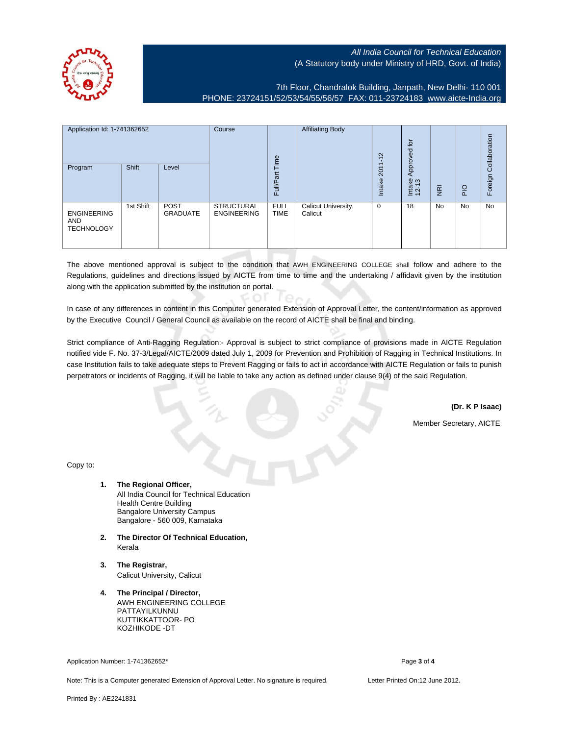7th Floor, Chandralok Building, Janpath, New Delhi- 110 001 PHONE: 23724151/52/53/54/55/56/57 FAX: 011-23724183 [www.aicte-India.org](http://www.aicte-India.org)

| Application Id: 1-741362652                           |           | Course                         | Time                                    | <b>Affiliating Body</b>    | $\mathbf{\Omega}$<br>루         | $\overline{p}$<br>Approved |                 |                | Collaboration  |         |
|-------------------------------------------------------|-----------|--------------------------------|-----------------------------------------|----------------------------|--------------------------------|----------------------------|-----------------|----------------|----------------|---------|
| Program                                               | Shift     | Level                          |                                         | Full/Part                  |                                | $2011 -$<br>Intake         | Intake<br>12-13 | $\overline{g}$ | $\overline{P}$ | Foreign |
| <b>ENGINEERING</b><br><b>AND</b><br><b>TECHNOLOGY</b> | 1st Shift | <b>POST</b><br><b>GRADUATE</b> | <b>STRUCTURAL</b><br><b>ENGINEERING</b> | <b>FULL</b><br><b>TIME</b> | Calicut University,<br>Calicut | 0                          | 18              | <b>No</b>      | No             | No      |

The above mentioned approval is subject to the condition that AWH ENGINEERING COLLEGE shall follow and adhere to the Regulations, guidelines and directions issued by AICTE from time to time and the undertaking / affidavit given by the institution along with the application submitted by the institution on portal.

In case of any differences in content in this Computer generated Extension of Approval Letter, the content/information as approved by the Executive Council / General Council as available on the record of AICTE shall be final and binding.

 $\theta$ 

Strict compliance of Anti-Ragging Regulation:- Approval is subject to strict compliance of provisions made in AICTE Regulation notified vide F. No. 37-3/Legal/AICTE/2009 dated July 1, 2009 for Prevention and Prohibition of Ragging in Technical Institutions. In case Institution fails to take adequate steps to Prevent Ragging or fails to act in accordance with AICTE Regulation or fails to punish perpetrators or incidents of Ragging, it will be liable to take any action as defined under clause 9(4) of the said Regulation.

**(Dr. K P Isaac)**

Member Secretary, AICTE

Copy to:

- **1. The Regional Officer,** All India Council for Technical Education Health Centre Building Bangalore University Campus Bangalore - 560 009, Karnataka
- **2. The Director Of Technical Education,** Kerala
- **3. The Registrar,** Calicut University, Calicut
- **4. The Principal / Director,** AWH ENGINEERING COLLEGE PATTAYILKUNNU KUTTIKKATTOOR- PO KOZHIKODE -DT

Application Number: 1-741362652\* Page **3** of 4

Note: This is a Computer generated Extension of Approval Letter. No signature is required. Letter Printed On:12 June 2012.